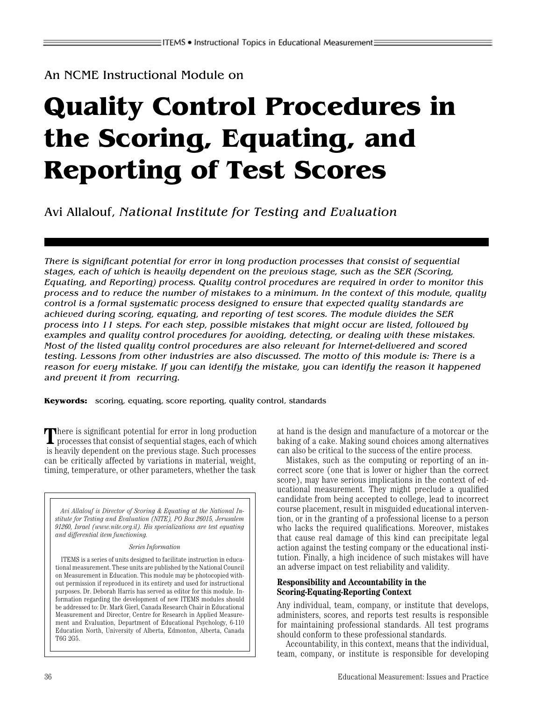# An NCME Instructional Module on

# **Quality Control Procedures in the Scoring, Equating, and Reporting of Test Scores**

Avi Allalouf, *National Institute for Testing and Evaluation*

*There is significant potential for error in long production processes that consist of sequential stages, each of which is heavily dependent on the previous stage, such as the SER (Scoring, Equating, and Reporting) process. Quality control procedures are required in order to monitor this process and to reduce the number of mistakes to a minimum. In the context of this module, quality control is a formal systematic process designed to ensure that expected quality standards are achieved during scoring, equating, and reporting of test scores. The module divides the SER process into 11 steps. For each step, possible mistakes that might occur are listed, followed by examples and quality control procedures for avoiding, detecting, or dealing with these mistakes. Most of the listed quality control procedures are also relevant for Internet-delivered and scored testing. Lessons from other industries are also discussed. The motto of this module is: There is a reason for every mistake. If you can identify the mistake, you can identify the reason it happened and prevent it from recurring.*

**Keywords:** scoring, equating, score reporting, quality control, standards

**T**here is significant potential for error in long production processes that consist of sequential stages, each of which is heavily dependent on the previous stage. Such processes can be critically affected by variations in material, weight, timing, temperature, or other parameters, whether the task

*Avi Allalouf is Director of Scoring & Equating at the National Institute for Testing and Evaluation (NITE), PO Box 26015, Jerusalem 91260, Israel (www.nite.org.il). His specializations are test equating and differential item functioning.*

#### *Series Information*

ITEMS is a series of units designed to facilitate instruction in educational measurement. These units are published by the National Council on Measurement in Education. This module may be photocopied without permission if reproduced in its entirety and used for instructional purposes. Dr. Deborah Harris has served as editor for this module. Information regarding the development of new ITEMS modules should be addressed to: Dr. Mark Gierl, Canada Research Chair in Educational Measurement and Director, Centre for Research in Applied Measurement and Evaluation, Department of Educational Psychology, 6-110 Education North, University of Alberta, Edmonton, Alberta, Canada T6G 2G5.

at hand is the design and manufacture of a motorcar or the baking of a cake. Making sound choices among alternatives can also be critical to the success of the entire process.

Mistakes, such as the computing or reporting of an incorrect score (one that is lower or higher than the correct score), may have serious implications in the context of educational measurement. They might preclude a qualified candidate from being accepted to college, lead to incorrect course placement, result in misguided educational intervention, or in the granting of a professional license to a person who lacks the required qualifications. Moreover, mistakes that cause real damage of this kind can precipitate legal action against the testing company or the educational institution. Finally, a high incidence of such mistakes will have an adverse impact on test reliability and validity.

#### **Responsibility and Accountability in the Scoring-Equating-Reporting Context**

Any individual, team, company, or institute that develops, administers, scores, and reports test results is responsible for maintaining professional standards. All test programs should conform to these professional standards.

Accountability, in this context, means that the individual, team, company, or institute is responsible for developing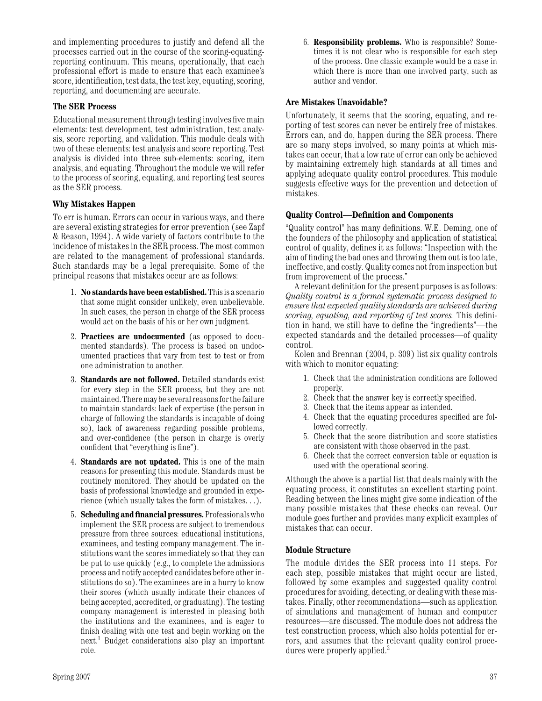and implementing procedures to justify and defend all the processes carried out in the course of the scoring-equatingreporting continuum. This means, operationally, that each professional effort is made to ensure that each examinee's score, identification, test data, the test key, equating, scoring, reporting, and documenting are accurate.

# **The SER Process**

Educational measurement through testing involves five main elements: test development, test administration, test analysis, score reporting, and validation. This module deals with two of these elements: test analysis and score reporting. Test analysis is divided into three sub-elements: scoring, item analysis, and equating. Throughout the module we will refer to the process of scoring, equating, and reporting test scores as the SER process.

# **Why Mistakes Happen**

To err is human. Errors can occur in various ways, and there are several existing strategies for error prevention (see Zapf & Reason, 1994). A wide variety of factors contribute to the incidence of mistakes in the SER process. The most common are related to the management of professional standards. Such standards may be a legal prerequisite. Some of the principal reasons that mistakes occur are as follows:

- 1. **No standards have been established.** This is a scenario that some might consider unlikely, even unbelievable. In such cases, the person in charge of the SER process would act on the basis of his or her own judgment.
- 2. **Practices are undocumented** (as opposed to documented standards). The process is based on undocumented practices that vary from test to test or from one administration to another.
- 3. **Standards are not followed.** Detailed standards exist for every step in the SER process, but they are not maintained. There may be several reasons for the failure to maintain standards: lack of expertise (the person in charge of following the standards is incapable of doing so), lack of awareness regarding possible problems, and over-confidence (the person in charge is overly confident that "everything is fine").
- 4. **Standards are not updated.** This is one of the main reasons for presenting this module. Standards must be routinely monitored. They should be updated on the basis of professional knowledge and grounded in experience (which usually takes the form of mistakes...).
- 5. **Scheduling and financial pressures.**Professionals who implement the SER process are subject to tremendous pressure from three sources: educational institutions, examinees, and testing company management. The institutions want the scores immediately so that they can be put to use quickly (e.g., to complete the admissions process and notify accepted candidates before other institutions do so). The examinees are in a hurry to know their scores (which usually indicate their chances of being accepted, accredited, or graduating). The testing company management is interested in pleasing both the institutions and the examinees, and is eager to finish dealing with one test and begin working on the next.<sup>1</sup> Budget considerations also play an important role.

6. **Responsibility problems.** Who is responsible? Sometimes it is not clear who is responsible for each step of the process. One classic example would be a case in which there is more than one involved party, such as author and vendor.

# **Are Mistakes Unavoidable?**

Unfortunately, it seems that the scoring, equating, and reporting of test scores can never be entirely free of mistakes. Errors can, and do, happen during the SER process. There are so many steps involved, so many points at which mistakes can occur, that a low rate of error can only be achieved by maintaining extremely high standards at all times and applying adequate quality control procedures. This module suggests effective ways for the prevention and detection of mistakes.

#### **Quality Control—Definition and Components**

"Quality control" has many definitions. W.E. Deming, one of the founders of the philosophy and application of statistical control of quality, defines it as follows: "Inspection with the aim of finding the bad ones and throwing them out is too late, ineffective, and costly. Quality comes not from inspection but from improvement of the process."

A relevant definition for the present purposes is as follows: *Quality control is a formal systematic process designed to ensure that expected quality standards are achieved during scoring, equating, and reporting of test scores.* This definition in hand, we still have to define the "ingredients"—the expected standards and the detailed processes—of quality control.

Kolen and Brennan (2004, p. 309) list six quality controls with which to monitor equating:

- 1. Check that the administration conditions are followed properly.
- 2. Check that the answer key is correctly specified.
- 3. Check that the items appear as intended.
- 4. Check that the equating procedures specified are followed correctly.
- 5. Check that the score distribution and score statistics are consistent with those observed in the past.
- 6. Check that the correct conversion table or equation is used with the operational scoring.

Although the above is a partial list that deals mainly with the equating process, it constitutes an excellent starting point. Reading between the lines might give some indication of the many possible mistakes that these checks can reveal. Our module goes further and provides many explicit examples of mistakes that can occur.

#### **Module Structure**

The module divides the SER process into 11 steps. For each step, possible mistakes that might occur are listed, followed by some examples and suggested quality control procedures for avoiding, detecting, or dealing with these mistakes. Finally, other recommendations—such as application of simulations and management of human and computer resources—are discussed. The module does not address the test construction process, which also holds potential for errors, and assumes that the relevant quality control procedures were properly applied.<sup>2</sup>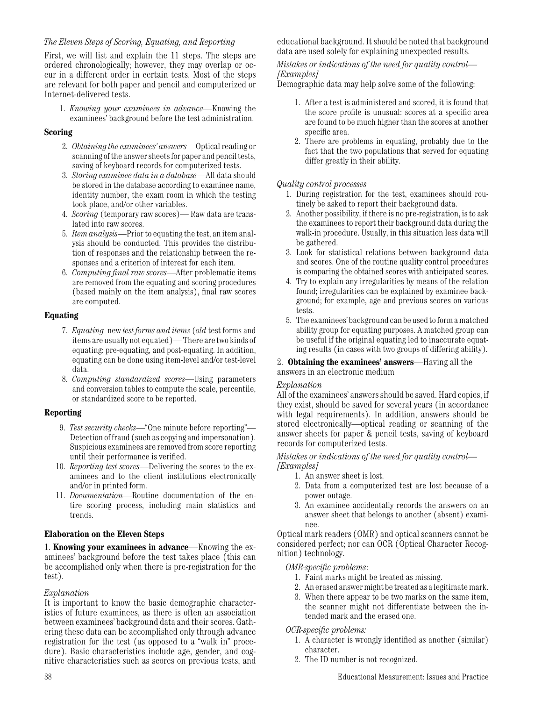# *The Eleven Steps of Scoring, Equating, and Reporting*

First, we will list and explain the 11 steps. The steps are ordered chronologically; however, they may overlap or occur in a different order in certain tests. Most of the steps are relevant for both paper and pencil and computerized or Internet-delivered tests.

1. *Knowing your examinees in advance—*Knowing the examinees' background before the test administration.

# **Scoring**

- 2. *Obtaining the examinees' answers—*Optical reading or scanning of the answer sheets for paper and pencil tests, saving of keyboard records for computerized tests.
- 3. *Storing examinee data in a database*—All data should be stored in the database according to examinee name, identity number, the exam room in which the testing took place, and/or other variables.
- 4. *Scoring* (temporary raw scores)— Raw data are translated into raw scores.
- 5. *Item analysis*—Prior to equating the test, an item analysis should be conducted. This provides the distribution of responses and the relationship between the responses and a criterion of interest for each item.
- 6. *Computing final raw scores*—After problematic items are removed from the equating and scoring procedures (based mainly on the item analysis), final raw scores are computed.

# **Equating**

- 7. *Equating* new *test forms and items* (*old* test forms and items are usually not equated)— There are two kinds of equating: pre-equating, and post-equating. In addition, equating can be done using item-level and/or test-level data.
- 8. *Computing standardized scores*—Using parameters and conversion tables to compute the scale, percentile, or standardized score to be reported.

# **Reporting**

- 9. *Test security checks*—"One minute before reporting"— Detection of fraud (such as copying and impersonation). Suspicious examinees are removed from score reporting until their performance is verified.
- 10. *Reporting test scores*—Delivering the scores to the examinees and to the client institutions electronically and/or in printed form.
- 11. *Documentation*—Routine documentation of the entire scoring process, including main statistics and trends.

#### **Elaboration on the Eleven Steps**

1. **Knowing your examinees in advance**—Knowing the examinees' background before the test takes place (this can be accomplished only when there is pre-registration for the test).

#### *Explanation*

It is important to know the basic demographic characteristics of future examinees, as there is often an association between examinees' background data and their scores. Gathering these data can be accomplished only through advance registration for the test (as opposed to a "walk in" procedure). Basic characteristics include age, gender, and cognitive characteristics such as scores on previous tests, and educational background. It should be noted that background data are used solely for explaining unexpected results.

#### *Mistakes or indications of the need for quality control— [Examples]*

Demographic data may help solve some of the following:

- 1. After a test is administered and scored, it is found that the score profile is unusual: scores at a specific area are found to be much higher than the scores at another specific area.
- 2. There are problems in equating, probably due to the fact that the two populations that served for equating differ greatly in their ability.

# *Quality control processes*

- 1. During registration for the test, examinees should routinely be asked to report their background data.
- 2. Another possibility, if there is no pre-registration, is to ask the examinees to report their background data during the walk-in procedure. Usually, in this situation less data will be gathered.
- 3. Look for statistical relations between background data and scores. One of the routine quality control procedures is comparing the obtained scores with anticipated scores.
- 4. Try to explain any irregularities by means of the relation found; irregularities can be explained by examinee background; for example, age and previous scores on various tests.
- 5. The examinees' background can be used to form a matched ability group for equating purposes. A matched group can be useful if the original equating led to inaccurate equating results (in cases with two groups of differing ability).

#### 2. **Obtaining the examinees' answers**—Having all the answers in an electronic medium

#### *Explanation*

All of the examinees' answers should be saved. Hard copies, if they exist, should be saved for several years (in accordance with legal requirements). In addition, answers should be stored electronically—optical reading or scanning of the answer sheets for paper & pencil tests, saving of keyboard records for computerized tests.

#### *Mistakes or indications of the need for quality control— [Examples]*

- 1. An answer sheet is lost.
- 2. Data from a computerized test are lost because of a power outage.
- 3. An examinee accidentally records the answers on an answer sheet that belongs to another (absent) examinee.

Optical mark readers (OMR) and optical scanners cannot be considered perfect; nor can OCR (Optical Character Recognition) technology.

#### *OMR-specific problems*:

- 1. Faint marks might be treated as missing.
- 2. An erased answer might be treated as a legitimate mark.
- 3. When there appear to be two marks on the same item, the scanner might not differentiate between the intended mark and the erased one.

#### *OCR-specific problems:*

- 1. A character is wrongly identified as another (similar) character.
- 2. The ID number is not recognized.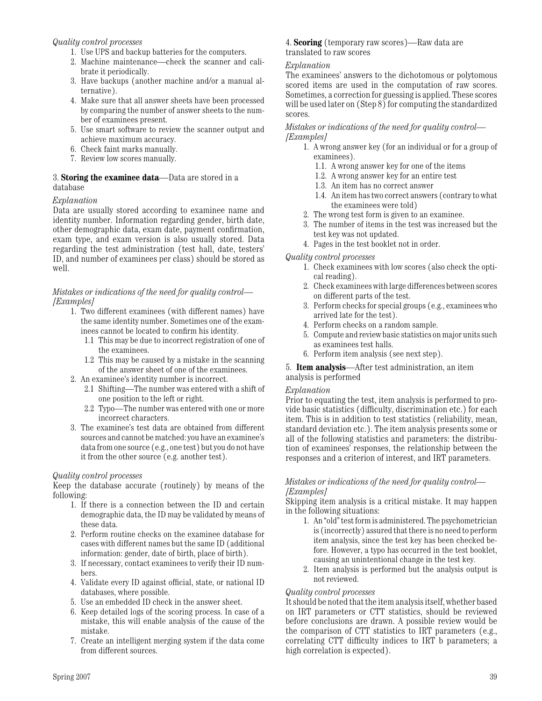#### *Quality control processes*

- 1. Use UPS and backup batteries for the computers.
- 2. Machine maintenance—check the scanner and calibrate it periodically.
- 3. Have backups (another machine and/or a manual alternative).
- 4. Make sure that all answer sheets have been processed by comparing the number of answer sheets to the number of examinees present.
- 5. Use smart software to review the scanner output and achieve maximum accuracy.
- 6. Check faint marks manually.
- 7. Review low scores manually.

#### 3. **Storing the examinee data**—Data are stored in a database

#### *Explanation*

Data are usually stored according to examinee name and identity number. Information regarding gender, birth date, other demographic data, exam date, payment confirmation, exam type, and exam version is also usually stored. Data regarding the test administration (test hall, date, testers' ID, and number of examinees per class) should be stored as well.

#### *Mistakes or indications of the need for quality control— [Examples]*

- 1. Two different examinees (with different names) have the same identity number. Sometimes one of the examinees cannot be located to confirm his identity.
	- 1.1 This may be due to incorrect registration of one of the examinees.
	- 1.2 This may be caused by a mistake in the scanning of the answer sheet of one of the examinees.
- 2. An examinee's identity number is incorrect.
	- 2.1 Shifting—The number was entered with a shift of one position to the left or right.
	- 2.2 Typo—The number was entered with one or more incorrect characters.
- 3. The examinee's test data are obtained from different sources and cannot be matched: you have an examinee's data from one source (e.g., one test) but you do not have it from the other source (e.g. another test).

#### *Quality control processes*

Keep the database accurate (routinely) by means of the following:

- 1. If there is a connection between the ID and certain demographic data, the ID may be validated by means of these data.
- 2. Perform routine checks on the examinee database for cases with different names but the same ID (additional information: gender, date of birth, place of birth).
- 3. If necessary, contact examinees to verify their ID numbers.
- 4. Validate every ID against official, state, or national ID databases, where possible.
- 5. Use an embedded ID check in the answer sheet.
- 6. Keep detailed logs of the scoring process. In case of a mistake, this will enable analysis of the cause of the mistake.
- 7. Create an intelligent merging system if the data come from different sources.

#### 4. **Scoring** (temporary raw scores)—Raw data are translated to raw scores

#### *Explanation*

The examinees' answers to the dichotomous or polytomous scored items are used in the computation of raw scores. Sometimes, a correction for guessing is applied. These scores will be used later on (Step 8) for computing the standardized scores.

#### *Mistakes or indications of the need for quality control— [Examples]*

- 1. A wrong answer key (for an individual or for a group of examinees).
	- 1.1. A wrong answer key for one of the items
	- 1.2. A wrong answer key for an entire test
	- 1.3. An item has no correct answer
	- 1.4. An item has two correct answers (contrary to what the examinees were told)
- 2. The wrong test form is given to an examinee.
- 3. The number of items in the test was increased but the test key was not updated.
- 4. Pages in the test booklet not in order.

#### *Quality control processes*

- 1. Check examinees with low scores (also check the optical reading).
- 2. Check examinees with large differences between scores on different parts of the test.
- 3. Perform checks for special groups (e.g., examinees who arrived late for the test).
- 4. Perform checks on a random sample.
- 5. Compute and review basic statistics on major units such as examinees test halls.
- 6. Perform item analysis (see next step).

#### 5. **Item analysis**—After test administration, an item analysis is performed

#### *Explanation*

Prior to equating the test, item analysis is performed to provide basic statistics (difficulty, discrimination etc.) for each item. This is in addition to test statistics (reliability, mean, standard deviation etc.). The item analysis presents some or all of the following statistics and parameters: the distribution of examinees' responses, the relationship between the responses and a criterion of interest, and IRT parameters.

#### *Mistakes or indications of the need for quality control— [Examples]*

Skipping item analysis is a critical mistake. It may happen in the following situations:

- 1. An "old" test form is administered. The psychometrician is (incorrectly) assured that there is no need to perform item analysis, since the test key has been checked before. However, a typo has occurred in the test booklet, causing an unintentional change in the test key.
- 2. Item analysis is performed but the analysis output is not reviewed.

#### *Quality control processes*

It should be noted that the item analysis itself, whether based on IRT parameters or CTT statistics, should be reviewed before conclusions are drawn. A possible review would be the comparison of CTT statistics to IRT parameters (e.g., correlating CTT difficulty indices to IRT b parameters; a high correlation is expected).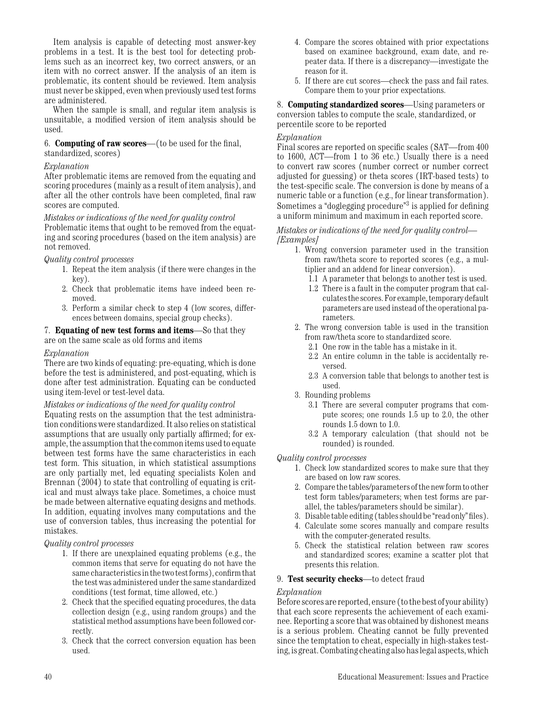Item analysis is capable of detecting most answer-key problems in a test. It is the best tool for detecting problems such as an incorrect key, two correct answers, or an item with no correct answer. If the analysis of an item is problematic, its content should be reviewed. Item analysis must never be skipped, even when previously used test forms are administered.

When the sample is small, and regular item analysis is unsuitable, a modified version of item analysis should be used.

#### 6. **Computing of raw scores**—(to be used for the final, standardized, scores)

#### *Explanation*

After problematic items are removed from the equating and scoring procedures (mainly as a result of item analysis), and after all the other controls have been completed, final raw scores are computed.

*Mistakes or indications of the need for quality control*

Problematic items that ought to be removed from the equating and scoring procedures (based on the item analysis) are not removed.

#### *Quality control processes*

- 1. Repeat the item analysis (if there were changes in the key).
- 2. Check that problematic items have indeed been removed.
- 3. Perform a similar check to step 4 (low scores, differences between domains, special group checks).

#### 7. **Equating of new test forms and items**—So that they are on the same scale as old forms and items

#### *Explanation*

There are two kinds of equating: pre-equating, which is done before the test is administered, and post-equating, which is done after test administration. Equating can be conducted using item-level or test-level data.

#### *Mistakes or indications of the need for quality control*

Equating rests on the assumption that the test administration conditions were standardized. It also relies on statistical assumptions that are usually only partially affirmed; for example, the assumption that the common items used to equate between test forms have the same characteristics in each test form. This situation, in which statistical assumptions are only partially met, led equating specialists Kolen and Brennan (2004) to state that controlling of equating is critical and must always take place. Sometimes, a choice must be made between alternative equating designs and methods. In addition, equating involves many computations and the use of conversion tables, thus increasing the potential for mistakes.

#### *Quality control processes*

- 1. If there are unexplained equating problems (e.g., the common items that serve for equating do not have the same characteristics in the two test forms), confirm that the test was administered under the same standardized conditions (test format, time allowed, etc.)
- 2. Check that the specified equating procedures, the data collection design (e.g., using random groups) and the statistical method assumptions have been followed correctly.
- 3. Check that the correct conversion equation has been used.
- 4. Compare the scores obtained with prior expectations based on examinee background, exam date, and repeater data. If there is a discrepancy—investigate the reason for it.
- 5. If there are cut scores—check the pass and fail rates. Compare them to your prior expectations.

8. **Computing standardized scores**—Using parameters or conversion tables to compute the scale, standardized, or percentile score to be reported

#### *Explanation*

Final scores are reported on specific scales (SAT—from 400 to 1600, ACT—from 1 to 36 etc.) Usually there is a need to convert raw scores (number correct or number correct adjusted for guessing) or theta scores (IRT-based tests) to the test-specific scale. The conversion is done by means of a numeric table or a function (e.g., for linear transformation). Sometimes a "doglegging procedure"<sup>3</sup> is applied for defining a uniform minimum and maximum in each reported score.

#### *Mistakes or indications of the need for quality control— [Examples]*

- 1. Wrong conversion parameter used in the transition from raw/theta score to reported scores (e.g., a multiplier and an addend for linear conversion).
	- 1.1 A parameter that belongs to another test is used.
	- 1.2 There is a fault in the computer program that calculates the scores. For example, temporary default parameters are used instead of the operational parameters.
- 2. The wrong conversion table is used in the transition from raw/theta score to standardized score.
	- 2.1 One row in the table has a mistake in it.
	- 2.2 An entire column in the table is accidentally reversed.
	- 2.3 A conversion table that belongs to another test is used.
- 3. Rounding problems
	- 3.1 There are several computer programs that compute scores; one rounds 1.5 up to 2.0, the other rounds 1.5 down to 1.0.
	- 3.2 A temporary calculation (that should not be rounded) is rounded.

#### *Quality control processes*

- 1. Check low standardized scores to make sure that they are based on low raw scores.
- 2. Compare the tables/parameters of the new form to other test form tables/parameters; when test forms are parallel, the tables/parameters should be similar).
- 3. Disable table editing (tables should be "read only" files).
- 4. Calculate some scores manually and compare results with the computer-generated results.
- 5. Check the statistical relation between raw scores and standardized scores; examine a scatter plot that presents this relation.

#### 9. **Test security checks**—to detect fraud

#### *Explanation*

Before scores are reported, ensure (to the best of your ability) that each score represents the achievement of each examinee. Reporting a score that was obtained by dishonest means is a serious problem. Cheating cannot be fully prevented since the temptation to cheat, especially in high-stakes testing, is great. Combating cheating also has legal aspects, which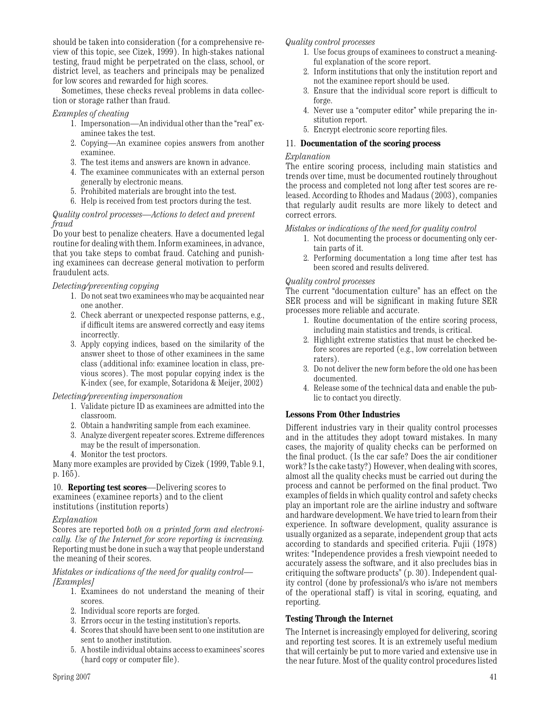should be taken into consideration (for a comprehensive review of this topic, see Cizek, 1999). In high-stakes national testing, fraud might be perpetrated on the class, school, or district level, as teachers and principals may be penalized for low scores and rewarded for high scores.

Sometimes, these checks reveal problems in data collection or storage rather than fraud.

#### *Examples of cheating*

- 1. Impersonation—An individual other than the "real" examinee takes the test.
- 2. Copying—An examinee copies answers from another examinee.
- 3. The test items and answers are known in advance.
- 4. The examinee communicates with an external person generally by electronic means.
- 5. Prohibited materials are brought into the test.
- 6. Help is received from test proctors during the test.

#### *Quality control processes—Actions to detect and prevent fraud*

Do your best to penalize cheaters. Have a documented legal routine for dealing with them. Inform examinees, in advance, that you take steps to combat fraud. Catching and punishing examinees can decrease general motivation to perform fraudulent acts.

#### *Detecting/preventing copying*

- 1. Do not seat two examinees who may be acquainted near one another.
- 2. Check aberrant or unexpected response patterns, e.g., if difficult items are answered correctly and easy items incorrectly.
- 3. Apply copying indices, based on the similarity of the answer sheet to those of other examinees in the same class (additional info: examinee location in class, previous scores). The most popular copying index is the K-index (see, for example, Sotaridona & Meijer, 2002)

#### *Detecting/preventing impersonation*

- 1. Validate picture ID as examinees are admitted into the classroom.
- 2. Obtain a handwriting sample from each examinee.
- 3. Analyze divergent repeater scores. Extreme differences may be the result of impersonation.
- 4. Monitor the test proctors.

Many more examples are provided by Cizek (1999, Table 9.1, p. 165).

#### 10. **Reporting test scores**—Delivering scores to examinees (examinee reports) and to the client institutions (institution reports)

#### *Explanation*

Scores are reported *both on a printed form and electronically. Use of the Internet for score reporting is increasing.* Reporting must be done in such a way that people understand the meaning of their scores.

*Mistakes or indications of the need for quality control— [Examples]*

- 1. Examinees do not understand the meaning of their scores.
- 2. Individual score reports are forged.
- 3. Errors occur in the testing institution's reports.
- 4. Scores that should have been sent to one institution are sent to another institution.
- 5. A hostile individual obtains access to examinees' scores (hard copy or computer file).

# *Quality control processes*

- 1. Use focus groups of examinees to construct a meaningful explanation of the score report.
- 2. Inform institutions that only the institution report and not the examinee report should be used.
- 3. Ensure that the individual score report is difficult to forge.
- 4. Never use a "computer editor" while preparing the institution report.
- 5. Encrypt electronic score reporting files.

#### 11. **Documentation of the scoring process**

#### *Explanation*

The entire scoring process, including main statistics and trends over time, must be documented routinely throughout the process and completed not long after test scores are released. According to Rhodes and Madaus (2003), companies that regularly audit results are more likely to detect and correct errors.

#### *Mistakes or indications of the need for quality control*

- 1. Not documenting the process or documenting only certain parts of it.
- 2. Performing documentation a long time after test has been scored and results delivered.

#### *Quality control processes*

The current "documentation culture" has an effect on the SER process and will be significant in making future SER processes more reliable and accurate.

- 1. Routine documentation of the entire scoring process, including main statistics and trends, is critical.
- 2. Highlight extreme statistics that must be checked before scores are reported (e.g., low correlation between raters).
- 3. Do not deliver the new form before the old one has been documented.
- 4. Release some of the technical data and enable the public to contact you directly.

#### **Lessons From Other Industries**

Different industries vary in their quality control processes and in the attitudes they adopt toward mistakes. In many cases, the majority of quality checks can be performed on the final product. (Is the car safe? Does the air conditioner work? Is the cake tasty?) However, when dealing with scores, almost all the quality checks must be carried out during the process and cannot be performed on the final product. Two examples of fields in which quality control and safety checks play an important role are the airline industry and software and hardware development. We have tried to learn from their experience. In software development, quality assurance is usually organized as a separate, independent group that acts according to standards and specified criteria. Fujii (1978) writes: "Independence provides a fresh viewpoint needed to accurately assess the software, and it also precludes bias in critiquing the software products" (p. 30). Independent quality control (done by professional/s who is/are not members of the operational staff) is vital in scoring, equating, and reporting.

# **Testing Through the Internet**

The Internet is increasingly employed for delivering, scoring and reporting test scores. It is an extremely useful medium that will certainly be put to more varied and extensive use in the near future. Most of the quality control procedures listed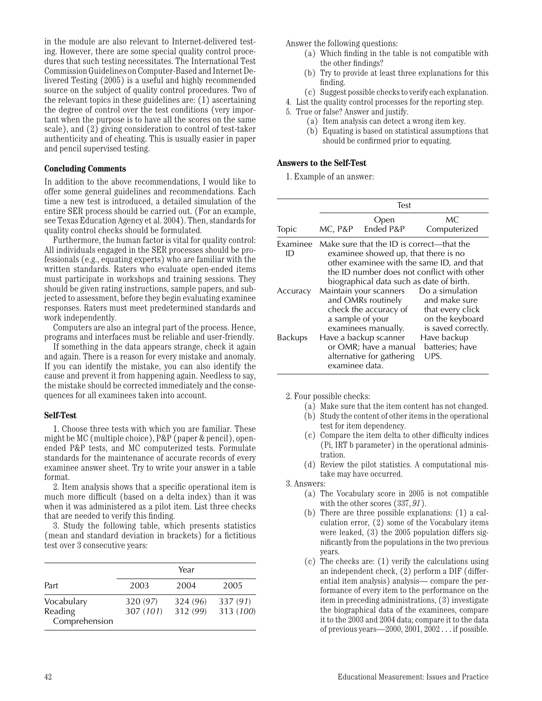in the module are also relevant to Internet-delivered testing. However, there are some special quality control procedures that such testing necessitates. The International Test Commission Guidelines on Computer-Based and Internet Delivered Testing (2005) is a useful and highly recommended source on the subject of quality control procedures. Two of the relevant topics in these guidelines are: (1) ascertaining the degree of control over the test conditions (very important when the purpose is to have all the scores on the same scale), and (2) giving consideration to control of test-taker authenticity and of cheating. This is usually easier in paper and pencil supervised testing.

#### **Concluding Comments**

In addition to the above recommendations, I would like to offer some general guidelines and recommendations. Each time a new test is introduced, a detailed simulation of the entire SER process should be carried out. (For an example, see Texas Education Agency et al. 2004). Then, standards for quality control checks should be formulated.

Furthermore, the human factor is vital for quality control: All individuals engaged in the SER processes should be professionals (e.g., equating experts) who are familiar with the written standards. Raters who evaluate open-ended items must participate in workshops and training sessions. They should be given rating instructions, sample papers, and subjected to assessment, before they begin evaluating examinee responses. Raters must meet predetermined standards and work independently.

Computers are also an integral part of the process. Hence, programs and interfaces must be reliable and user-friendly.

If something in the data appears strange, check it again and again. There is a reason for every mistake and anomaly. If you can identify the mistake, you can also identify the cause and prevent it from happening again. Needless to say, the mistake should be corrected immediately and the consequences for all examinees taken into account.

#### **Self-Test**

1. Choose three tests with which you are familiar. These might be MC (multiple choice), P&P (paper & pencil), openended P&P tests, and MC computerized tests. Formulate standards for the maintenance of accurate records of every examinee answer sheet. Try to write your answer in a table format.

2. Item analysis shows that a specific operational item is much more difficult (based on a delta index) than it was when it was administered as a pilot item. List three checks that are needed to verify this finding.

3. Study the following table, which presents statistics (mean and standard deviation in brackets) for a fictitious test over 3 consecutive years:

|                                        | Year                  |                      |                       |  |
|----------------------------------------|-----------------------|----------------------|-----------------------|--|
| Part                                   | 2003                  | 2004                 | 2005                  |  |
| Vocabulary<br>Reading<br>Comprehension | 320 (97)<br>307 (101) | 324 (96)<br>312 (99) | 337 (91)<br>313 (100) |  |

Answer the following questions:

- (a) Which finding in the table is not compatible with the other findings?
- (b) Try to provide at least three explanations for this finding.
- (c) Suggest possible checks to verify each explanation.
- 4. List the quality control processes for the reporting step.
- 5. True or false? Answer and justify.
	- (a) Item analysis can detect a wrong item key.
	- (b) Equating is based on statistical assumptions that should be confirmed prior to equating.

#### **Answers to the Self-Test**

1. Example of an answer:

|                | <b>Test</b>                                                                                                                                                                                                              |                                                    |                                                                                                |  |  |
|----------------|--------------------------------------------------------------------------------------------------------------------------------------------------------------------------------------------------------------------------|----------------------------------------------------|------------------------------------------------------------------------------------------------|--|--|
|                |                                                                                                                                                                                                                          | Open                                               | МC                                                                                             |  |  |
| Topic          | MC, P&P                                                                                                                                                                                                                  | Ended P&P                                          | Computerized                                                                                   |  |  |
| Examinee<br>ID | Make sure that the ID is correct—that the<br>examinee showed up, that there is no<br>other examinee with the same ID, and that<br>the ID number does not conflict with other<br>biographical data such as date of birth. |                                                    |                                                                                                |  |  |
| Accuracy       | Maintain your scanners<br>and OMRs routinely<br>a sample of your                                                                                                                                                         | check the accuracy of<br>examinees manually.       | Do a simulation<br>and make sure<br>that every click<br>on the keyboard<br>is saved correctly. |  |  |
| Backups        | Have a backup scanner<br>examinee data.                                                                                                                                                                                  | or OMR; have a manual<br>alternative for gathering | Have backup<br>batteries; have<br>UPS.                                                         |  |  |

2. Four possible checks:

- (a) Make sure that the item content has not changed.
- (b) Study the content of other items in the operational test for item dependency.
- (c) Compare the item delta to other difficulty indices (Pi, IRT b parameter) in the operational administration.
- (d) Review the pilot statistics. A computational mistake may have occurred.

3. Answers:

- (a) The Vocabulary score in 2005 is not compatible with the other scores (337, *91*).
- (b) There are three possible explanations: (1) a calculation error, (2) some of the Vocabulary items were leaked, (3) the 2005 population differs significantly from the populations in the two previous years.
- (c) The checks are: (1) verify the calculations using an independent check, (2) perform a DIF (differential item analysis) analysis— compare the performance of every item to the performance on the item in preceding administrations, (3) investigate the biographical data of the examinees, compare it to the 2003 and 2004 data; compare it to the data of previous years—2000, 2001, 2002 ... if possible.